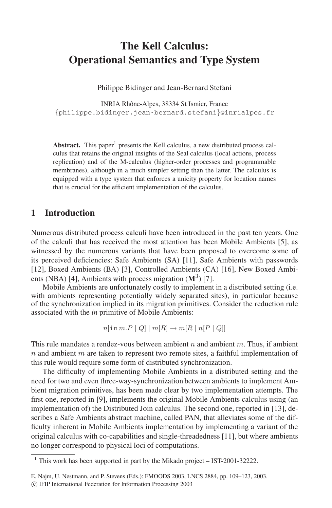# **The Kell Calculus: Operational Semantics and Type System**

Philippe Bidinger and Jean-Bernard Stefani

INRIA Rhˆone-Alpes, 38334 St Ismier, France {philippe.bidinger,jean-bernard.stefani}@inrialpes.fr

Abstract. This paper<sup>1</sup> presents the Kell calculus, a new distributed process calculus that retains the original insights of the Seal calculus (local actions, process replication) and of the M-calculus (higher-order processes and programmable membranes), although in a much simpler setting than the latter. The calculus is equipped with a type system that enforces a unicity property for location names that is crucial for the efficient implementation of the calculus.

## **1 Introduction**

Numerous distributed process calculi have been introduced in the past ten years. One of the calculi that has received the most attention has been Mobile Ambients [5], as witnessed by the numerous variants that have been proposed to overcome some of its perceived deficiencies: Safe Ambients (SA) [11], Safe Ambients with passwords [12], Boxed Ambients (BA) [3], Controlled Ambients (CA) [16], New Boxed Ambients (NBA) [4], Ambients with process migration  $(M^3)$  [7].

Mobile Ambients are unfortunately costly to implement in a distributed setting (i.e. with ambients representing potentially widely separated sites), in particular because of the synchronization implied in its migration primitives. Consider the reduction rule associated with the *in* primitive of Mobile Ambients:

$$
n[\operatorname{in} m.P \mid Q] \mid m[R] \to m[R \mid n[P \mid Q]]
$$

This rule mandates a rendez-vous between ambient n and ambient m. Thus, if ambient  $n$  and ambient  $m$  are taken to represent two remote sites, a faithful implementation of this rule would require some form of distributed synchronization.

The difficulty of implementing Mobile Ambients in a distributed setting and the need for two and even three-way-synchronization between ambients to implement Ambient migration primitives, has been made clear by two implementation attempts. The first one, reported in [9], implements the original Mobile Ambients calculus using (an implementation of) the Distributed Join calculus. The second one, reported in [13], describes a Safe Ambients abstract machine, called PAN, that alleviates some of the difficulty inherent in Mobile Ambients implementation by implementing a variant of the original calculus with co-capabilities and single-threadedness [11], but where ambients no longer correspond to physical loci of computations.

 $1$  This work has been supported in part by the Mikado project – IST-2001-32222.

E. Najm, U. Nestmann, and P. Stevens (Eds.): FMOODS 2003, LNCS 2884, pp. 109–123, 2003.

c IFIP International Federation for Information Processing 2003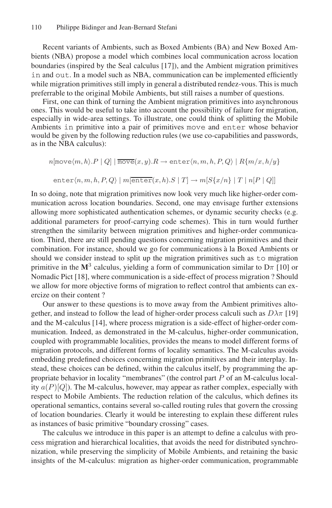Recent variants of Ambients, such as Boxed Ambients (BA) and New Boxed Ambients (NBA) propose a model which combines local communication across location boundaries (inspired by the Seal calculus [17]), and the Ambient migration primitives in and out. In a model such as NBA, communication can be implemented efficiently while migration primitives still imply in general a distributed rendez-vous. This is much preferrable to the original Mobile Ambients, but still raises a number of questions.

First, one can think of turning the Ambient migration primitives into asynchronous ones. This would be useful to take into account the possibility of failure for migration, especially in wide-area settings. To illustrate, one could think of splitting the Mobile Ambients in primitive into a pair of primitives move and enter whose behavior would be given by the following reduction rules (we use co-capabilities and passwords, as in the NBA calculus):

$$
n[\text{move}\langle m, h \rangle \cdot P \mid Q] \mid \overline{\text{move}}(x, y) \cdot R \to \text{enter}\langle n, m, h, P, Q \rangle \mid R\{m/x, h/y\}
$$
  
enter
$$
\langle n, m, h, P, Q \rangle \mid m[\overline{\text{enter}}(x, h) \cdot S \mid T] \to m[S\{x/n\} \mid T \mid n[P \mid Q]]
$$

In so doing, note that migration primitives now look very much like higher-order communication across location boundaries. Second, one may envisage further extensions allowing more sophisticated authentication schemes, or dynamic security checks (e.g. additional parameters for proof-carrying code schemes). This in turn would further strengthen the similarity between migration primitives and higher-order communication. Third, there are still pending questions concerning migration primitives and their combination. For instance, should we go for communications `a la Boxed Ambients or should we consider instead to split up the migration primitives such as to migration primitive in the  $M^3$  calculus, yielding a form of communication similar to  $D\pi$  [10] or Nomadic Pict [18], where communication is a side-effect of process migration ? Should we allow for more objective forms of migration to reflect control that ambients can exercize on their content ?

Our answer to these questions is to move away from the Ambient primitives altogether, and instead to follow the lead of higher-order process calculi such as  $D\lambda\pi$  [19] and the M-calculus [14], where process migration is a side-effect of higher-order communication. Indeed, as demonstrated in the M-calculus, higher-order communication, coupled with programmable localities, provides the means to model different forms of migration protocols, and different forms of locality semantics. The M-calculus avoids embedding predefined choices concerning migration primitives and their interplay. Instead, these choices can be defined, within the calculus itself, by programming the appropriate behavior in locality "membranes" (the control part P of an M-calculus locality  $a(P)[Q]$ ). The M-calculus, however, may appear as rather complex, especially with respect to Mobile Ambients. The reduction relation of the calculus, which defines its operational semantics, contains several so-called routing rules that govern the crossing of location boundaries. Clearly it would be interesting to explain these different rules as instances of basic primitive "boundary crossing" cases.

The calculus we introduce in this paper is an attempt to define a calculus with process migration and hierarchical localities, that avoids the need for distributed synchronization, while preserving the simplicity of Mobile Ambients, and retaining the basic insights of the M-calculus: migration as higher-order communication, programmable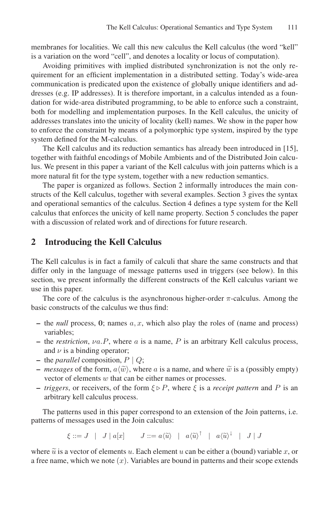membranes for localities. We call this new calculus the Kell calculus (the word "kell" is a variation on the word "cell", and denotes a locality or locus of computation).

Avoiding primitives with implied distributed synchronization is not the only requirement for an efficient implementation in a distributed setting. Today's wide-area communication is predicated upon the existence of globally unique identifiers and addresses (e.g. IP addresses). It is therefore important, in a calculus intended as a foundation for wide-area distributed programming, to be able to enforce such a constraint, both for modelling and implementation purposes. In the Kell calculus, the unicity of addresses translates into the unicity of locality (kell) names. We show in the paper how to enforce the constraint by means of a polymorphic type system, inspired by the type system defined for the M-calculus.

The Kell calculus and its reduction semantics has already been introduced in [15], together with faithful encodings of Mobile Ambients and of the Distributed Join calculus. We present in this paper a variant of the Kell calculus with join patterns which is a more natural fit for the type system, together with a new reduction semantics.

The paper is organized as follows. Section 2 informally introduces the main constructs of the Kell calculus, together with several examples. Section 3 gives the syntax and operational semantics of the calculus. Section 4 defines a type system for the Kell calculus that enforces the unicity of kell name property. Section 5 concludes the paper with a discussion of related work and of directions for future research.

## **2 Introducing the Kell Calculus**

The Kell calculus is in fact a family of calculi that share the same constructs and that differ only in the language of message patterns used in triggers (see below). In this section, we present informally the different constructs of the Kell calculus variant we use in this paper.

The core of the calculus is the asynchronous higher-order  $\pi$ -calculus. Among the basic constructs of the calculus we thus find:

- **–** the *null* process, **0**; names a, x, which also play the roles of (name and process) variables;
- **–** the *restriction*, νa.P, where a is a name, P is an arbitrary Kell calculus process, and  $\nu$  is a binding operator;
- **–** the *parallel* composition, P | Q;
- $-$  *messages* of the form,  $a\langle \tilde{w} \rangle$ , where a is a name, and where  $\tilde{w}$  is a (possibly empty) vector of elements w that can be either names or processes.
- **–** *triggers*, or receivers, of the form  $\xi \triangleright P$ , where  $\xi$  is a *receipt pattern* and P is an arbitrary kell calculus process.

The patterns used in this paper correspond to an extension of the Join patterns, i.e. patterns of messages used in the Join calculus:

 $\xi ::= J \quad | \quad J \mid a[x] \qquad \quad J ::= a\langle \widetilde{u} \rangle \quad | \quad a\langle \widetilde{u} \rangle^\uparrow \quad | \quad a\langle \widetilde{u} \rangle^\downarrow \quad | \quad J \mid J$ 

where  $\tilde{u}$  is a vector of elements u. Each element u can be either a (bound) variable x, or a free name, which we note  $(x)$ . Variables are bound in patterns and their scope extends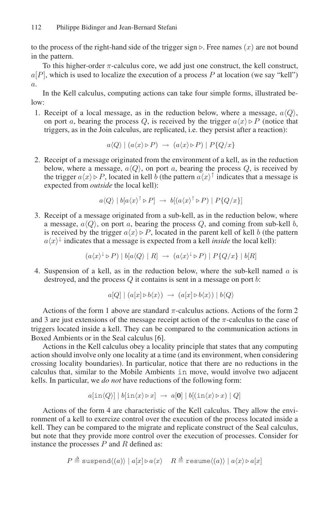to the process of the right-hand side of the trigger sign  $\triangleright$ . Free names  $(x)$  are not bound in the pattern.

To this higher-order  $\pi$ -calculus core, we add just one construct, the kell construct,  $a[P]$ , which is used to localize the execution of a process P at location (we say "kell")  $\overline{a}$ .

In the Kell calculus, computing actions can take four simple forms, illustrated below:

1. Receipt of a local message, as in the reduction below, where a message,  $a\langle Q \rangle$ , on port a, bearing the process Q, is received by the trigger  $a\langle x \rangle \triangleright P$  (notice that triggers, as in the Join calculus, are replicated, i.e. they persist after a reaction):

$$
a\langle Q \rangle \mid (a\langle x \rangle \triangleright P) \rightarrow (a\langle x \rangle \triangleright P) \mid P\{Q/x\}
$$

2. Receipt of a message originated from the environment of a kell, as in the reduction below, where a message,  $a\langle Q \rangle$ , on port a, bearing the process  $Q$ , is received by the trigger  $a\langle x\rangle \triangleright P$ , located in kell b (the pattern  $a\langle x\rangle$ <sup> $\uparrow$ </sup> indicates that a message is expected from *outside* the local kell):

$$
a\langle Q \rangle \mid b[a\langle x \rangle^{\dagger} \triangleright P] \rightarrow b[(a\langle x \rangle^{\dagger} \triangleright P) \mid P\{Q/x\}]
$$

3. Receipt of a message originated from a sub-kell, as in the reduction below, where a message,  $a\langle Q \rangle$ , on port a, bearing the process Q, and coming from sub-kell b, is received by the trigger  $a\langle x\rangle \triangleright P$ , located in the parent kell of kell b (the pattern  $a\langle x \rangle^{\downarrow}$  indicates that a message is expected from a kell *inside* the local kell):

$$
(a\langle x\rangle^{\downarrow} \triangleright P) | b[a\langle Q\rangle | R] \rightarrow (a\langle x\rangle^{\downarrow} \triangleright P) | P\{Q/x\} | b[R]
$$

4. Suspension of a kell, as in the reduction below, where the sub-kell named  $\alpha$  is destroyed, and the process  $Q$  it contains is sent in a message on port  $b$ :

$$
a[Q] | (a[x] \triangleright b\langle x \rangle) \rightarrow (a[x] \triangleright b\langle x \rangle) | b\langle Q \rangle
$$

Actions of the form 1 above are standard  $\pi$ -calculus actions. Actions of the form 2 and 3 are just extensions of the message receipt action of the  $\pi$ -calculus to the case of triggers located inside a kell. They can be compared to the communication actions in Boxed Ambients or in the Seal calculus [6].

Actions in the Kell calculus obey a locality principle that states that any computing action should involve only one locality at a time (and its environment, when considering crossing locality boundaries). In particular, notice that there are no reductions in the calculus that, similar to the Mobile Ambients in move, would involve two adjacent kells. In particular, we *do not* have reductions of the following form:

$$
a[\operatorname{in}(Q)] | b[\operatorname{in}(x) \triangleright x] \rightarrow a[0] | b[(\operatorname{in}(x) \triangleright x) | Q]
$$

Actions of the form 4 are characteristic of the Kell calculus. They allow the environment of a kell to exercize control over the execution of the process located inside a kell. They can be compared to the migrate and replicate construct of the Seal calculus, but note that they provide more control over the execution of processes. Consider for instance the processes  $P$  and  $R$  defined as:

$$
P \stackrel{\Delta}{=} \texttt{suspend} \langle (a) \rangle \mid a[x] \triangleright a\langle x \rangle \quad R \stackrel{\Delta}{=} \texttt{resume} \langle (a) \rangle \mid a\langle x \rangle \triangleright a[x]
$$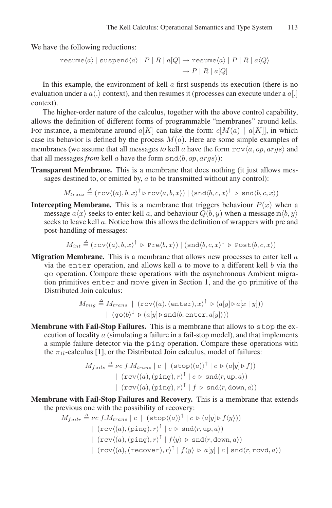We have the following reductions:

$$
\begin{aligned} \texttt{resume}(a) \mid \texttt{suspend}(a) \mid P \mid R \mid a[Q] &\rightarrow \texttt{resume}\langle a \rangle \mid P \mid R \mid a\langle Q \rangle \\ &\rightarrow P \mid R \mid a[Q] \end{aligned}
$$

In this example, the environment of kell  $\alpha$  first suspends its execution (there is no evaluation under a  $a\langle \cdot \rangle$  context), and then resumes it (processes can execute under a  $a[.]$ context).

The higher-order nature of the calculus, together with the above control capability, allows the definition of different forms of programmable "membranes" around kells. For instance, a membrane around  $a[K]$  can take the form:  $c[M(a) | a[K]]$ , in which case its behavior is defined by the process  $M(a)$ . Here are some simple examples of membranes (we assume that all messages *to* kell a have the form  $rcv\langle a, op, args\rangle$  and that all messages *from* kell a have the form  $\text{snd}\langle b, op, args \rangle$ :

**Transparent Membrane.** This is a membrane that does nothing (it just allows messages destined to, or emitted by,  $a$  to be transmitted without any control):

 $M_{trans} \triangleq (\texttt{rcv} \langle (a), b, x \rangle^\uparrow \triangleright \texttt{rcv} \langle a, b, x \rangle) \mid (\texttt{snd} \langle b, c, x \rangle^\downarrow \triangleright \texttt{snd} \langle b, c, x \rangle)$ 

**Intercepting Membrane.** This is a membrane that triggers behaviour  $P(x)$  when a message  $a\langle x \rangle$  seeks to enter kell a, and behaviour  $Q(b, y)$  when a message m $\langle b, y \rangle$ seeks to leave kell  $\alpha$ . Notice how this allows the definition of wrappers with pre and post-handling of messages:

 $M_{int} \stackrel{\Delta}{=} \left( \text{rcv} \langle (a), b, x \rangle^\uparrow \, \triangleright \, \text{Pre} \langle b, x \rangle \right) \, | \, \left( \text{snd} \langle b, c, x \rangle^\downarrow \, \triangleright \, \text{Post} \langle b, c, x \rangle \right)$ 

**Migration Membrane.** This is a membrane that allows new processes to enter kell a via the enter operation, and allows kell  $\alpha$  to move to a different kell  $\beta$  via the go operation. Compare these operations with the asynchronous Ambient migration primitives enter and move given in Section 1, and the go primitive of the Distributed Join calculus:

$$
M_{mig} \stackrel{\Delta}{=} M_{trans} \mid (\text{rcv} \langle (a), (\text{enter}), x \rangle^{\uparrow} \triangleright (a[y] \triangleright a[x \mid y]) )
$$

$$
| (\text{go} \langle b \rangle^{\downarrow} \triangleright (a[y] \triangleright \text{snd} \langle b, \text{enter}, a[y] \rangle ) )
$$

**Membrane with Fail-Stop Failures.** This is a membrane that allows to stop the execution of locality  $\alpha$  (simulating a failure in a fail-stop model), and that implements a simple failure detector via the ping operation. Compare these operations with the  $\pi_{1l}$ -calculus [1], or the Distributed Join calculus, model of failures:

$$
M_{fails} \triangleq \nu c \ f. M_{trans} \mid c \mid (stop \langle (a) \rangle^{\dagger} \mid c \rhd (a[y] \rhd f))
$$

$$
\mid (rcv \langle (a), (ping), r \rangle^{\dagger} \mid c \rhd snd \langle r, up, a \rangle)
$$

$$
\mid (rcv \langle (a), (ping), r \rangle^{\dagger} \mid f \rhd snd \langle r, down, a \rangle)
$$

**Membrane with Fail-Stop Failures and Recovery.** This is a membrane that extends the previous one with the possibility of recovery:

$$
M_{failr} \stackrel{\Delta}{=} \nu c \ f.M_{trans} \mid c \mid (\text{stop} \langle (a) \rangle^{\uparrow} \mid c \rhd (a[y] \rhd f \langle y \rangle))
$$
  
\n
$$
\mid (\text{rcv} \langle (a), (\text{ping}), r \rangle^{\uparrow} \mid c \rhd \text{snd} \langle r, \text{up}, a \rangle)
$$
  
\n
$$
\mid (\text{rcv} \langle (a), (\text{ping}), r \rangle^{\uparrow} \mid f \langle y \rangle \rhd \text{snd} \langle r, \text{down}, a \rangle)
$$
  
\n
$$
\mid (\text{rcv} \langle (a), (\text{recover}), r \rangle^{\uparrow} \mid f \langle y \rangle \rhd a[y] \mid c \mid \text{snd} \langle r, \text{rcvd}, a \rangle)
$$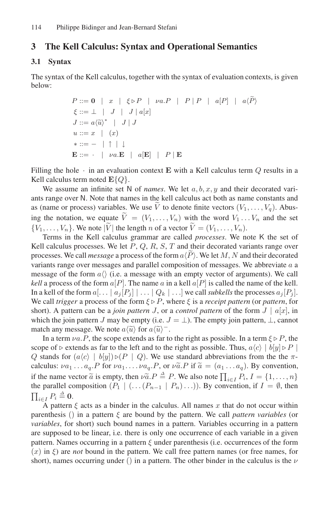## **3 The Kell Calculus: Syntax and Operational Semantics**

#### **3.1 Syntax**

The syntax of the Kell calculus, together with the syntax of evaluation contexts, is given below:

> $P ::= \mathbf{0} \mid x \mid \xi \triangleright P \mid \nu a.P \mid P \mid P \mid a[P] \mid a\langle \widetilde{P} \rangle$  $\xi ::= \bot \ \mid \ J \ \mid \ J \mid a[x]$  $J ::= a \langle \widetilde{u} \rangle^* \quad | \quad J \mid J$  $u ::= x \mid (x)$ ∗ ::= − |↑|↓  $\mathbf{E} ::= \cdot \mid \nu a.\mathbf{E} \mid a[\mathbf{E}] \mid P | \mathbf{E}$

Filling the hole  $\cdot$  in an evaluation context **E** with a Kell calculus term Q results in a Kell calculus term noted  $\mathbf{E}\{Q\}$ .

We assume an infinite set  $N$  of *names*. We let  $a, b, x, y$  and their decorated variants range over N. Note that names in the kell calculus act both as name constants and as (name or process) variables. We use V to denote finite vectors  $(V_1, \ldots, V_a)$ . Abusing the notation, we equate  $\tilde{V} = (V_1, \ldots, V_n)$  with the word  $V_1 \ldots V_n$  and the set  ${V_1, \ldots, V_n}$ . We note  $|\widetilde{V}|$  the length n of a vector  $\widetilde{V} = (V_1, \ldots, V_n)$ .

Terms in the Kell calculus grammar are called *processes*. We note K the set of Kell calculus processes. We let  $P$ ,  $Q$ ,  $R$ ,  $S$ ,  $T$  and their decorated variants range over processes. We call *message* a process of the form  $a(\tilde{P})$ . We let M, N and their decorated variants range over messages and parallel composition of messages. We abbreviate  $a$  a message of the form  $a\langle\rangle$  (i.e. a message with an empty vector of arguments). We call *kell* a process of the form  $a[P]$ . The name a in a kell  $a[P]$  is called the name of the kell. In a kell of the form  $a[\ldots | a_j P_j] | \ldots | Q_k | \ldots$  we call *subkells* the processes  $a_j [P_j]$ . We call *trigger* a process of the form  $\xi \triangleright P$ , where  $\xi$  is a *receipt pattern* (or *pattern*, for short). A pattern can be a *join pattern* J, or a *control pattern* of the form  $J | a[x]$ , in which the join pattern J may be empty (i.e.  $J = \perp$ ). The empty join pattern,  $\perp$ , cannot match any message. We note  $a\langle \tilde{u} \rangle$  for  $a\langle \tilde{u} \rangle$  -.

In a term  $\varphi a.P$ , the scope extends as far to the right as possible. In a term  $\xi \triangleright P$ , the scope of  $\triangleright$  extends as far to the left and to the right as possible. Thus,  $a\langle c \rangle \mid b[y] \triangleright P \mid$ Q stands for  $(a\langle c \rangle \mid b\{y\}) \triangleright (P \mid Q)$ . We use standard abbreviations from the the  $\pi$ calculus:  $va_1 \nldots a_q \nvert P$  for  $va_1 \ldots va_q \nvert P$ , or  $v \tilde{a} \cdot P$  if  $\tilde{a} = (a_1 \ldots a_q)$ . By convention, calculus:  $\nu a_1 \dots a_q$ . P for  $\nu a_1 \dots \nu a_q$ . P, or  $\nu a$ . P if  $a = (a_1 \dots a_q)$ .<br>if the name vector  $\widetilde{a}$  is empty, then  $\nu \widetilde{a}$ .  $P \triangleq P$ . We also note  $\prod$  $\prod_{i\in I} P_i, I = \{1,\ldots,n\}$ the parallel composition  $(P_1 | (\dots (P_{n-1} | P_n) \dots))$ . By convention, if  $I = \emptyset$ , then  $\prod_{i\in I} P_i \stackrel{\Delta}{=} 0.$ 

A pattern  $\xi$  acts as a binder in the calculus. All names x that do not occur within parenthesis () in a pattern ξ are bound by the pattern. We call *pattern variables* (or *variables*, for short) such bound names in a pattern. Variables occurring in a pattern are supposed to be linear, i.e. there is only one occurrence of each variable in a given pattern. Names occurring in a pattern ξ under parenthesis (i.e. occurrences of the form  $(x)$  in  $\xi$ ) are *not* bound in the pattern. We call free pattern names (or free names, for short), names occurring under () in a pattern. The other binder in the calculus is the  $\nu$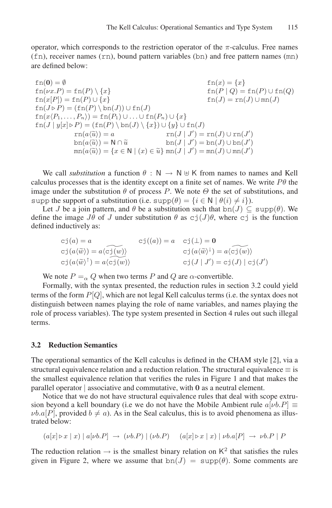operator, which corresponds to the restriction operator of the  $\pi$ -calculus. Free names  $(f_n)$ , receiver names  $(r_n)$ , bound pattern variables  $(b_n)$  and free pattern names  $(m_n)$ are defined below:

 $fn(0) = \emptyset$  fn(x) = {x}  $fn(\nu x.P) = fn(P) \setminus \{x\}$  fn(P | Q) = fn(P) ∪ fn(Q)  $fn(x[P]) = fn(P) \cup \{x\}$  fn(J) = rn(J) ∪ mn(J)  $\operatorname{fn}(J \triangleright P) = (\operatorname{fn}(P) \setminus \operatorname{bn}(J)) \cup \operatorname{fn}(J)$  $\text{fn}(x \langle P_1,\ldots,P_n \rangle) = \text{fn}(P_1) \cup \ldots \cup \text{fn}(P_n) \cup \{x\}$  $fn(J | y|x] \triangleright P) = (fn(P) \setminus bn(J) \setminus \{x\}) \cup \{y\} \cup fn(J)$  $rn(a\langle \tilde{u}\rangle) = a$  $\widetilde{u}\rangle = a$   $\text{rn}(J | J') = \text{rn}(J) \cup \text{rn}(J')$  $bn(a\langle \widetilde{u} \rangle) = N \cap \widetilde{u}$  bn $(J \mid J'$  $) = \text{bn}(J) \cup \text{bn}(J')$  $\text{mm}(a\langle \tilde{u}\rangle) = \{x \in \mathbb{N} \mid (x) \in \tilde{u}\}\ \text{mm}(J \mid J') = \text{mm}(J) \cup \text{mm}(J')$ 

We call *substitution* a function  $\theta : N \to N \oplus K$  from names to names and Kell calculus processes that is the identity except on a finite set of names. We write  $P\theta$  the image under the substitution  $\theta$  of process P. We note  $\Theta$  the set of substitutions, and supp the support of a substitution (i.e.  $supp(\theta) = \{i \in \mathbb{N} \mid \theta(i) \neq i\}$ ).

Let J be a join pattern, and  $\theta$  be a substitution such that bn(J)  $\subseteq$  supp( $\theta$ ). We define the image  $J\theta$  of J under substitution  $\theta$  as  $c_j(J)\theta$ , where  $c_j$  is the function defined inductively as:

$$
c j(a) = a \qquad c j((a)) = a \qquad c j(\bot) = 0
$$
  
\n
$$
c j(a\langle \tilde{w} \rangle) = a\langle \tilde{c} j(\tilde{w}) \rangle
$$
  
\n
$$
c j(a\langle \tilde{w} \rangle^{\dagger}) = a\langle \tilde{c} j(\tilde{w}) \rangle
$$
  
\n
$$
c j(a\langle \tilde{w} \rangle^{\dagger}) = a\langle \tilde{c} j(\tilde{w}) \rangle
$$
  
\n
$$
c j(J | J') = c j(J) | c j(J')
$$

We note  $P =_{\alpha} Q$  when two terms P and Q are  $\alpha$ -convertible.

Formally, with the syntax presented, the reduction rules in section 3.2 could yield terms of the form  $P[Q]$ , which are not legal Kell calculus terms (i.e. the syntax does not distinguish between names playing the role of name variables, and names playing the role of process variables). The type system presented in Section 4 rules out such illegal terms.

#### **3.2 Reduction Semantics**

The operational semantics of the Kell calculus is defined in the CHAM style [2], via a structural equivalence relation and a reduction relation. The structural equivalence  $\equiv$  is the smallest equivalence relation that verifies the rules in Figure 1 and that makes the parallel operator | associative and commutative, with **0** as a neutral element.

Notice that we do not have structural equivalence rules that deal with scope extrusion beyond a kell boundary (i.e we do not have the Mobile Ambient rule  $a[\nu b.P] \equiv$  $\nu b.a[P]$ , provided  $b \neq a$ ). As in the Seal calculus, this is to avoid phenomena as illustrated below:

$$
(a[x]\triangleright x \mid x) \mid a[\nu b.P] \rightarrow (\nu b.P) \mid (\nu b.P) \quad (a[x]\triangleright x \mid x) \mid \nu b.a[P] \rightarrow \nu b.P \mid P
$$

The reduction relation  $\rightarrow$  is the smallest binary relation on K<sup>2</sup> that satisfies the rules given in Figure 2, where we assume that  $bn(J) = \text{supp}(\theta)$ . Some comments are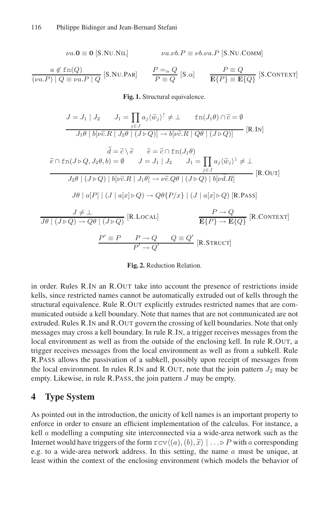$$
\nu a.0 \equiv 0 \text{ [S.NU.NIL]} \qquad \qquad \nu a. \nu b. P \equiv \nu b. \nu a. P \text{ [S.NU.COMM]}
$$

$$
\frac{a \notin \text{fn}(Q)}{(\nu a.P) \mid Q \equiv \nu a.P \mid Q} \text{ [S.NU.PAR]} \qquad \frac{P =_{\alpha} Q}{P \equiv Q} \text{ [S.\alpha]} \qquad \frac{P \equiv Q}{\mathbf{E}\{P\} \equiv \mathbf{E}\{Q\}} \text{ [S.CONTEXT]}
$$

**Fig. 1.** Structural equivalence.

$$
J = J_1 | J_2 \t J_1 = \prod_{j \in J} a_j \langle \tilde{w}_j \rangle^{\dagger} \neq \bot \t \text{fn}(J_1 \theta) \cap \tilde{c} = \emptyset
$$
  
\n
$$
\frac{J_1 \theta | b[\nu \tilde{c}.R | J_2 \theta | (J \triangleright Q)] \rightarrow b[\nu \tilde{c}.R | Q\theta | (J \triangleright Q)]}{\tilde{d} = \tilde{c} \setminus \tilde{e} \tilde{e} = \tilde{c} \cap \text{fn}(J_1 \theta)}
$$
  
\n
$$
\tilde{d} = \tilde{c} \setminus \tilde{e} \tilde{e} = \tilde{c} \cap \text{fn}(J_1 \theta)
$$
  
\n
$$
\tilde{e} \cap \text{fn}(J \triangleright Q, J_2 \theta, b) = \emptyset \t J = J_1 | J_2 \t J_1 = \prod_{j \in J} a_j \langle \tilde{w}_j \rangle^{\dagger} \neq \bot
$$
  
\n
$$
J_2 \theta | (J \triangleright Q) | b[\nu \tilde{c}.R | J_1 \theta] \rightarrow \nu \tilde{e}.Q\theta | (J \triangleright Q) | b[\nu \tilde{d}.R]
$$
  
\n
$$
J\theta | a[P] | (J | a[x] \triangleright Q) \rightarrow Q\theta \{P/x\} | (J | a[x] \triangleright Q) [R.PASS]
$$
  
\n
$$
\frac{J \neq \bot}{J\theta | (J \triangleright Q) \rightarrow Q\theta | (J \triangleright Q)} [R.LocAL] \t \frac{P \rightarrow Q}{E\{P\} \rightarrow E\{Q\}} [R.CONTEXT]
$$
  
\n
$$
\frac{P' \equiv P \t P \rightarrow Q \t Q \equiv Q'}{P' \rightarrow Q'} [R.STRYUT]
$$

**Fig. 2.** Reduction Relation.

in order. Rules R.IN an R.OUT take into account the presence of restrictions inside kells, since restricted names cannot be automatically extruded out of kells through the structural equivalence. Rule R.OUT explicitly extrudes restricted names that are communicated outside a kell boundary. Note that names that are not communicated are not extruded. Rules R.IN and R.OUT govern the crossing of kell boundaries. Note that only messages may cross a kell boundary. In rule R.IN, a trigger receives messages from the local environment as well as from the outside of the enclosing kell. In rule R.OUT, a trigger receives messages from the local environment as well as from a subkell. Rule R.PASS allows the passivation of a subkell, possibly upon receipt of messages from the local environment. In rules R.IN and R.OUT, note that the join pattern  $J_2$  may be empty. Likewise, in rule R.PASS, the join pattern J may be empty.

### **4 Type System**

As pointed out in the introduction, the unicity of kell names is an important property to enforce in order to ensure an efficient implementation of the calculus. For instance, a kell a modelling a computing site interconnected via a wide-area network such as the Internet would have triggers of the form  $r c v \langle (a), (b), \tilde{x} \rangle \mid \ldots \triangleright P$  with a corresponding e.g. to a wide-area network address. In this setting, the name  $a$  must be unique, at least within the context of the enclosing environment (which models the behavior of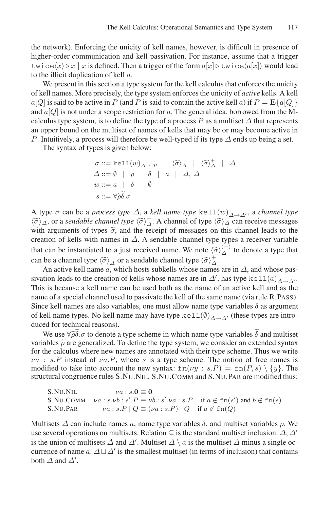the network). Enforcing the unicity of kell names, however, is difficult in presence of higher-order communication and kell passivation. For instance, assume that a trigger twice $\langle x \rangle \triangleright x \mid x$  is defined. Then a trigger of the form  $a[x] \triangleright$  twice $\langle a[x] \rangle$  would lead to the illicit duplication of kell  $a$ .

We present in this section a type system for the kell calculus that enforces the unicity of kell names. More precisely, the type system enforces the unicity of *active* kells. A kell  $a[Q]$  is said to be active in P (and P is said to contain the active kell a) if  $P = \mathbf{E}\{a[Q]\}\$ and  $a[Q]$  is not under a scope restriction for a. The general idea, borrowed from the Mcalculus type system, is to define the type of a process P as a multiset  $\Delta$  that represents an upper bound on the multiset of names of kells that may be or may become active in P. Intuitively, a process will therefore be well-typed if its type  $\Delta$  ends up being a set.

The syntax of types is given below:

$$
\begin{array}{lcl} \sigma ::= \text{kel1}(w)_{\Delta \to \Delta'} & | \quad \langle \tilde{\sigma} \rangle_{\Delta} & | \quad \langle \tilde{\sigma} \rangle_{\Delta}^+ & | \quad \Delta \\ \varDelta ::= \emptyset & | \quad \rho & | \quad \delta & | \quad a & | \quad \Delta, \ \Delta \\ w ::= a & | \quad \delta & | \quad \emptyset \\ s ::= \forall \tilde{\rho} \tilde{\delta}. \sigma \end{array}
$$

A type  $\sigma$  can be a *process type*  $\Delta$ , a *kell name type* kell $(u)_{\Delta\rightarrow\Delta'}$ , a *channel type*  $\langle \tilde{\sigma} \rangle_{\Delta}$ , or a *sendable channel type*  $\langle \tilde{\sigma} \rangle_{\Delta}^+$ . A channel of type  $\langle \tilde{\sigma} \rangle_{\Delta}^-$  can receive messages with arguments of types  $\tilde{\sigma}$ , and the receipt of messages on this channel leads to the creation of kells with names in  $\Delta$ . A sendable channel type types a receiver variable that can be instantiated to a just received name. We note  $\langle \tilde{\sigma} \rangle_{\Delta}^{(+)}$  to denote a type that can be a channel type  $\langle \widetilde{\sigma} \rangle_{\Delta}$  or a sendable channel type  $\langle \widetilde{\sigma} \rangle^+_{\Delta}$ .

An active kell name  $a$ , which hosts subkells whose names are in  $\Delta$ , and whose passivation leads to the creation of kells whose names are in  $\Delta'$ , has type kell $(a)_{\Delta\to\Delta'}$ . This is because a kell name can be used both as the name of an active kell and as the name of a special channel used to passivate the kell of the same name (via rule R.PASS). Since kell names are also variables, one must allow name type variables  $\delta$  as argument of kell name types. No kell name may have type kell $(\emptyset)_{\Delta \to \Delta'}$  (these types are introduced for technical reasons).

We use  $\forall \widetilde{\rho} \widetilde{\delta} \cdot \sigma$  to denote a type scheme in which name type variables  $\widetilde{\delta}$  and multiset variables  $\tilde{\rho}$  are generalized. To define the type system, we consider an extended syntax for the calculus where new names are annotated with their type scheme. Thus we write  $\nu a$  : s. P instead of  $\nu a$ . P, where s is a type scheme. The notion of free names is modified to take into account the new syntax:  $\text{fn}(v\gamma : s.P) = \text{fn}(P, s) \setminus \{y\}$ . The structural congruence rules S.NU.NIL, S.NU.COMM and S.NU.PAR are modified thus:

S.NU.NIL 
$$
\nu a : s.0 \equiv 0
$$
\nS.NU.COMM  $\nu a : s.\nu b : s'.P \equiv \nu b : s'.\nu a : s.P$  if  $a \notin \text{fn}(s')$  and  $b \notin \text{fn}(s)$ \nS.NU.PAR  $\nu a : s.P \mid Q \equiv (\nu a : s.P) \mid Q$  if  $a \notin \text{fn}(Q)$ 

Multisets  $\Delta$  can include names a, name type variables  $\delta$ , and multiset variables  $\rho$ . We use several operations on multisets. Relation  $\subseteq$  is the standard multiset inclusion.  $\Delta, \Delta'$ is the union of multisets  $\Delta$  and  $\Delta'$ . Multiset  $\Delta \setminus a$  is the multiset  $\Delta$  minus a single occurrence of name a.  $\Delta \sqcup \Delta'$  is the smallest multiset (in terms of inclusion) that contains both  $\Delta$  and  $\Delta'$ .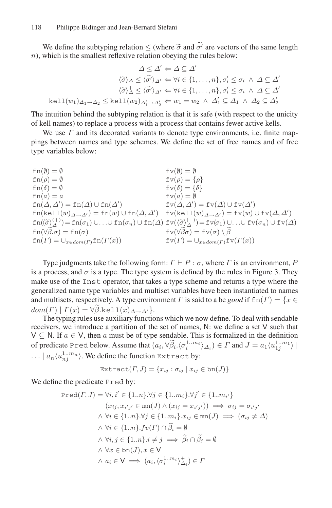We define the subtyping relation  $\leq$  (where  $\tilde{\sigma}$  and  $\tilde{\sigma'}$  are vectors of the same length  $n$ ), which is the smallest reflexive relation obeying the rules below:

$$
\Delta \leq \Delta' \Leftarrow \Delta \subseteq \Delta'
$$

$$
\langle \tilde{\sigma} \rangle_{\Delta} \leq \langle \tilde{\sigma'} \rangle_{\Delta'} \Leftarrow \forall i \in \{1, ..., n\}, \sigma'_i \leq \sigma_i \ \land \ \Delta \subseteq \Delta'
$$

$$
\langle \tilde{\sigma} \rangle_{\Delta}^+ \leq \langle \tilde{\sigma'} \rangle_{\Delta'} \Leftarrow \forall i \in \{1, ..., n\}, \sigma'_i \leq \sigma_i \ \land \ \Delta \subseteq \Delta'
$$

$$
\text{kerl}(w_1)_{\Delta_1 \to \Delta_2} \leq \text{kerl}(w_2)_{\Delta'_1 \to \Delta'_2} \Leftarrow w_1 = w_2 \ \land \ \Delta'_1 \subseteq \Delta_1 \ \land \ \Delta_2 \subseteq \Delta'_2
$$

The intuition behind the subtyping relation is that it is safe (with respect to the unicity of kell names) to replace a process with a process that contains fewer active kells.

We use  $\Gamma$  and its decorated variants to denote type environments, i.e. finite mappings between names and type schemes. We define the set of free names and of free type variables below:

| $\text{fn}(\emptyset) = \emptyset$                                                                                                                                                              | $f(v(\emptyset)) = \emptyset$                                                                                                                                                                                                                                        |
|-------------------------------------------------------------------------------------------------------------------------------------------------------------------------------------------------|----------------------------------------------------------------------------------------------------------------------------------------------------------------------------------------------------------------------------------------------------------------------|
| $\operatorname{fn}(\rho) = \emptyset$                                                                                                                                                           | $\text{fv}(\rho) = \{\rho\}$                                                                                                                                                                                                                                         |
| $\text{fn}(\delta) = \emptyset$                                                                                                                                                                 | $\operatorname{fv}(\delta) = \{\delta\}$                                                                                                                                                                                                                             |
| $fn(a) = a$                                                                                                                                                                                     | $f(v(a) = \emptyset)$                                                                                                                                                                                                                                                |
| $\operatorname{fn}(\Delta, \Delta') = \operatorname{fn}(\Delta) \cup \operatorname{fn}(\Delta')$                                                                                                | $\text{fv}(\Delta, \Delta') = \text{fv}(\Delta) \cup \text{fv}(\Delta')$                                                                                                                                                                                             |
| $\text{fn}(\text{ker1}(w)_{\Delta \to \Delta'}) = \text{fn}(w) \cup \text{fn}(\Delta, \Delta')$ $\text{fv}(\text{ker1}(w)_{\Delta \to \Delta'}) = \text{fv}(w) \cup \text{fv}(\Delta, \Delta')$ |                                                                                                                                                                                                                                                                      |
|                                                                                                                                                                                                 | $\text{fn}(\widetilde{\sigma})^{(+)}_{\Lambda}) = \text{fn}(\sigma_1) \cup \ldots \cup \text{fn}(\sigma_n) \cup \text{fn}(\Delta) \text{ fv}(\widetilde{\sigma})^{(+)}_{\Lambda}) = \text{tv}(\sigma_1) \cup \ldots \cup \text{fv}(\sigma_n) \cup \text{fv}(\Delta)$ |
| $\text{fn}(\forall \beta \cdot \sigma) = \text{fn}(\sigma)$                                                                                                                                     | $\operatorname{fv}(\forall \beta \sigma) = \operatorname{fv}(\sigma) \setminus \beta$                                                                                                                                                                                |
| $\text{fn}(\Gamma) = \bigcup_{x \in dom(\Gamma)} \text{fn}(\Gamma(x))$                                                                                                                          | $\text{fv}(\Gamma) = \bigcup_{x \in dom(\Gamma)} \text{fv}(\Gamma(x))$                                                                                                                                                                                               |

Type judgments take the following form:  $\Gamma \vdash P : \sigma$ , where  $\Gamma$  is an environment, P is a process, and  $\sigma$  is a type. The type system is defined by the rules in Figure 3. They make use of the Inst operator, that takes a type scheme and returns a type where the generalized name type variables and multiset variables have been instantiated to names and multisets, respectively. A type environment  $\Gamma$  is said to a be *good* if  $\text{fn}(\Gamma) = \{x \in \Gamma\}$  $dom(\Gamma) | \Gamma(x) = \forall \tilde{\beta}$ .kell $(x)_{\Delta \rightarrow \Delta'}$ .

The typing rules use auxiliary functions which we now define. To deal with sendable receivers, we introduce a partition of the set of names,  $N$ : we define a set  $V$  such that  $V \subseteq N$ . If  $a \in V$ , then a must be of type sendable. This is formalized in the definition of predicate Pred below. Assume that  $(a_i, \forall \widetilde{\beta}_i. \langle \sigma_i^{1..m_i} \rangle_{\Delta_i}) \in \Gamma$  and  $J = a_1 \langle u_{1j}^{1..m_1} \rangle$  $\dots \mid a_n \langle u^{1..m_n}_{nj} \rangle.$  We define the function Extract by:

$$
\text{Extract}(I,J)=\{x_{ij}:\sigma_{ij} \mid x_{ij} \in \text{bn}(J)\}
$$

We define the predicate Pred by:

$$
\text{Pred}(\Gamma, J) = \forall i, i' \in \{1..n\}.\forall j \in \{1..m_i\}.\forall j' \in \{1..m_{i'}\}
$$
\n
$$
(x_{ij}, x_{i'j'} \in mn(J) \land (x_{ij} = x_{i'j'})) \implies \sigma_{ij} = \sigma_{i'j'}
$$
\n
$$
\land \forall i \in \{1..n\}.\forall j \in \{1..m_i\}.\,x_{ij} \in mn(J) \implies (\sigma_{ij} \neq \Delta)
$$
\n
$$
\land \forall i \in \{1..n\}.\,fv(\Gamma) \cap \widetilde{\beta}_i = \emptyset
$$
\n
$$
\land \forall i, j \in \{1..n\}.\,i \neq j \implies \widetilde{\beta}_i \cap \widetilde{\beta}_j = \emptyset
$$
\n
$$
\land \forall x \in bn(J), x \in V
$$
\n
$$
\land a_i \in V \implies (a_i, \langle \sigma_i^{1..m_i} \rangle_{\Delta_i}^+) \in \Gamma
$$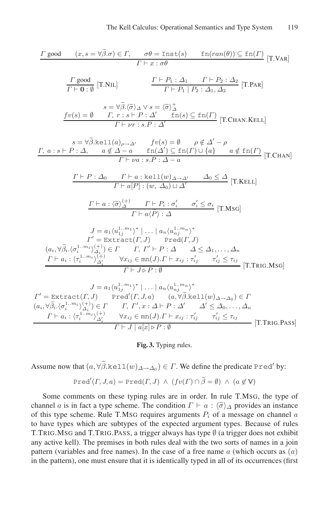$$
\frac{\Gamma \text{ good } (x, s = \forall \tilde{\beta}. \sigma) \in \Gamma, \quad \sigma \theta = \text{Inst}(s) \quad \text{fn}(ran(\theta)) \subseteq \text{fn}(I^{\prime})
$$
\n
$$
\frac{\Gamma \text{ good }} \Gamma \cdot \text{Null} \qquad \frac{\Gamma \vdash P_1 : \Delta_1 \quad \Gamma \vdash P_2 : \Delta_2}{\Gamma \vdash P_1 \mid P_2 : \Delta_1, \Delta_2} \text{ [T.PAR]}
$$
\n
$$
\frac{s}{\Gamma \vdash 0 : \emptyset} \text{ [T.NIL]} \qquad \frac{\Gamma \vdash P_1 : \Delta_1 \quad \Gamma \vdash P_2 : \Delta_2}{\Gamma \vdash P_1 \mid P_2 : \Delta_1, \Delta_2} \text{ [T.PAR]}
$$
\n
$$
s = \forall \tilde{\beta}. \text{Re11}(a)_{\rho \to \Delta'} \qquad \text{fn}(s) \subseteq \text{fn}(I^{\prime})
$$
\n
$$
\frac{\Gamma \vdash \nu r : s \cdot P : \Delta'}{\Gamma \vdash \nu r : s \cdot P : \Delta'} \qquad \text{fn}(s) \subseteq \text{fn}(I^{\prime}) \cup \{a\} \qquad a \notin \text{fn}(I^{\prime})
$$
\n
$$
\frac{\Gamma, a : s \vdash P : \Delta, \quad a \notin \Delta - a \quad \text{fn}(\Delta') \subseteq \text{fn}(I^{\prime}) \cup \{a\} \qquad a \notin \text{fn}(I^{\prime})}{\Gamma \vdash a : s \cdot P : \Delta - a} \qquad \frac{\Gamma \vdash P : \Delta_0 \quad \Gamma \vdash a : \text{kel1}(w)_{\Delta \to \Delta'} \quad \Delta_0 \leq \Delta}{\Gamma \vdash a(P) : (w, \Delta_0) \sqcup \Delta'} \text{ [T.KELL]}
$$
\n
$$
\frac{\Gamma \vdash a : (\tilde{\sigma})_{\Delta}^{(+)} \quad \Gamma \vdash P_i : \sigma_i' \quad \sigma_i' \leq \sigma_i}{\Gamma \vdash a(\tilde{P}) : \Delta} \text{ [T.MSG]}
$$
\n
$$
J = a_1 \langle u_{1j}^{1, m_1} \rangle^* \mid \dots \mid a_n \langle u_{nj}^{1, m_n} \rangle^*
$$
\n
$$
\Gamma' = \text{Extact}(I^{\prime}, J) \qquad \text{Pred}(I,
$$

**Fig. 3.** Typing rules.

 $P : \emptyset$  [T.TRIG.PASS]

Assume now that  $(a, \forall \widetilde{\beta}.\text{ReLU}(w)_{\Delta \to \Delta_0}) \in \Gamma$ . We define the predicate Pred' by:

 $\Gamma \vdash J \mid a[x] \triangleright P : \emptyset$ 

i

$$
\text{Pred}'(\Gamma, J, a) = \text{Pred}(\Gamma, J) \land (fv(\Gamma) \cap \widetilde{\beta} = \emptyset) \land (a \not\in \mathsf{V})
$$

Some comments on these typing rules are in order. In rule T.MSG, the type of channel a is in fact a type scheme. The condition  $\Gamma \vdash a : \langle \tilde{\sigma} \rangle_{\Delta}$  provides an instance of this type scheme. Rule T.MsG requires arguments  $P_i$  of a message on channel  $a$ to have types which are subtypes of the expected argument types. Because of rules T.TRIG.MSG and T.TRIG.PASS, a trigger always has type ∅ (a trigger does not exhibit any active kell). The premises in both rules deal with the two sorts of names in a join pattern (variables and free names). In the case of a free name  $a$  (which occurs as  $(a)$ ) in the pattern), one must ensure that it is identically typed in all of its occurrences (first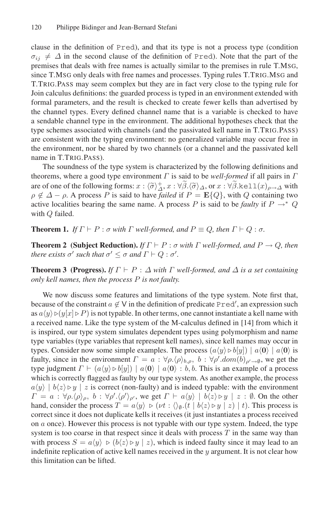clause in the definition of Pred), and that its type is not a process type (condition  $\sigma_{ij} \neq \Delta$  in the second clause of the definition of Pred). Note that the part of the premises that deals with free names is actually similar to the premises in rule T.MSG, since T.MSG only deals with free names and processes. Typing rules T.TRIG.MSG and T.TRIG.PASS may seem complex but they are in fact very close to the typing rule for Join calculus definitions: the guarded process is typed in an environment extended with formal parameters, and the result is checked to create fewer kells than advertised by the channel types. Every defined channel name that is a variable is checked to have a sendable channel type in the environment. The additional hypotheses check that the type schemes associated with channels (and the passivated kell name in T.TRIG.PASS) are consistent with the typing environment: no generalized variable may occur free in the environment, nor be shared by two channels (or a channel and the passivated kell name in T.TRIG.PASS).

The soundness of the type system is characterized by the following definitions and theorems, where a good type environment  $\Gamma$  is said to be *well-formed* if all pairs in  $\Gamma$ are of one of the following forms:  $x : \langle \tilde{\sigma} \rangle_A^+, x : \forall \tilde{\beta}. \langle \tilde{\sigma} \rangle_\Delta$ , or  $x : \forall \tilde{\beta}. \text{kerl}(x)_{\rho \to \Delta}$  with  $\rho \notin \Delta - \rho$ . A process P is said to have *failed* if  $P = \mathbf{E}{Q}$ , with Q containing two active localities bearing the same name. A process P is said to be *faulty* if  $P \rightarrow^* Q$ with Q failed.

**Theorem 1.** *If*  $\Gamma \vdash P : \sigma$  *with*  $\Gamma$  *well-formed, and*  $P \equiv Q$ *, then*  $\Gamma \vdash Q : \sigma$ *.* 

**Theorem 2 (Subject Reduction).** *If*  $\Gamma \vdash P : \sigma$  *with*  $\Gamma$  *well-formed, and*  $P \rightarrow Q$ *, then there exists*  $\sigma'$  *such that*  $\sigma' \leq \sigma$  *and*  $\Gamma \vdash Q : \sigma'.$ 

**Theorem 3 (Progress).** *If*  $\Gamma \vdash P : \Delta$  *with*  $\Gamma$  *well-formed, and*  $\Delta$  *is a set containing only kell names, then the process* P *is not faulty.*

We now discuss some features and limitations of the type system. Note first that, because of the constraint  $a \notin V$  in the definition of predicate Pred', an expression such as  $a\langle y\rangle \triangleright (y[x] \triangleright P)$  is not typable. In other terms, one cannot instantiate a kell name with a received name. Like the type system of the M-calculus defined in [14] from which it is inspired, our type system simulates dependent types using polymorphism and name type variables (type variables that represent kell names), since kell names may occur in types. Consider now some simple examples. The process  $(a\langle y \rangle > b[y]) | a\langle 0 \rangle | a\langle 0 \rangle$  is faulty, since in the environment  $\Gamma = a : \forall \rho \cdot (\rho)_{b,\rho}, b : \forall \rho' . dom(b)_{\rho' \to \emptyset}$ , we get the type judgment  $\Gamma \vdash (a\langle y \rangle \triangleright b[y]) \mid a\langle 0 \rangle \mid a\langle 0 \rangle : b, b$ . This is an example of a process which is correctly flagged as faulty by our type system. As another example, the process  $a\langle y \rangle \mid b\langle z \rangle \triangleright y \mid z$  is correct (non-faulty) and is indeed typable: with the environment  $\Gamma = a$ :  $\forall \rho. \langle \rho \rangle_{\rho}, b$ :  $\forall \rho'. \langle \rho' \rangle_{\rho'},$  we get  $\Gamma \vdash a \langle y \rangle \mid b \langle z \rangle \triangleright y \mid z$ :  $\emptyset$ . On the other hand, consider the process  $T = a\langle y \rangle \triangleright (vt : \langle \rangle_0.(t \mid b\langle z \rangle \triangleright y \mid z) \mid t)$ . This process is correct since it does not duplicate kells it receives (it just instantiates a process received on  $a$  once). However this process is not typable with our type system. Indeed, the type system is too coarse in that respect since it deals with process  $T$  in the same way than with process  $S = a\langle y \rangle \ge (b\langle z \rangle \ge y \mid z)$ , which is indeed faulty since it may lead to an indefinite replication of active kell names received in the  $y$  argument. It is not clear how this limitation can be lifted.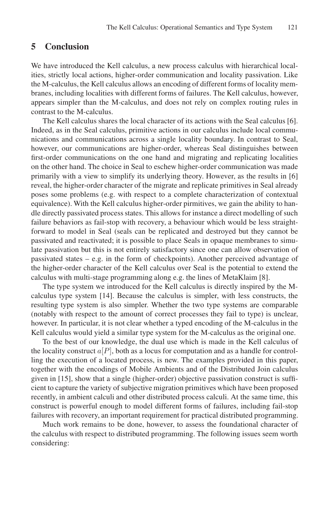## **5 Conclusion**

We have introduced the Kell calculus, a new process calculus with hierarchical localities, strictly local actions, higher-order communication and locality passivation. Like the M-calculus, the Kell calculus allows an encoding of different forms of locality membranes, including localities with different forms of failures. The Kell calculus, however, appears simpler than the M-calculus, and does not rely on complex routing rules in contrast to the M-calculus.

The Kell calculus shares the local character of its actions with the Seal calculus [6]. Indeed, as in the Seal calculus, primitive actions in our calculus include local communications and communications across a single locality boundary. In contrast to Seal, however, our communications are higher-order, whereas Seal distinguishes between first-order communications on the one hand and migrating and replicating localities on the other hand. The choice in Seal to eschew higher-order communication was made primarily with a view to simplify its underlying theory. However, as the results in [6] reveal, the higher-order character of the migrate and replicate primitives in Seal already poses some problems (e.g. with respect to a complete characterization of contextual equivalence). With the Kell calculus higher-order pirmitives, we gain the ability to handle directly passivated process states. This allows for instance a direct modelling of such failure behaviors as fail-stop with recovery, a behaviour which would be less straightforward to model in Seal (seals can be replicated and destroyed but they cannot be passivated and reactivated; it is possible to place Seals in opaque membranes to simulate passivation but this is not entirely satisfactory since one can allow observation of passivated states – e.g. in the form of checkpoints). Another perceived advantage of the higher-order character of the Kell calculus over Seal is the potential to extend the calculus with multi-stage programming along e.g. the lines of MetaKlaim [8].

The type system we introduced for the Kell calculus is directly inspired by the Mcalculus type system [14]. Because the calculus is simpler, with less constructs, the resulting type system is also simpler. Whether the two type systems are comparable (notably with respect to the amount of correct processes they fail to type) is unclear, however. In particular, it is not clear whether a typed encoding of the M-calculus in the Kell calculus would yield a similar type system for the M-calculus as the original one.

To the best of our knowledge, the dual use which is made in the Kell calculus of the locality construct  $a[P]$ , both as a locus for computation and as a handle for controlling the execution of a located process, is new. The examples provided in this paper, together with the encodings of Mobile Ambients and of the Distributed Join calculus given in [15], show that a single (higher-order) objective passivation construct is sufficient to capture the variety of subjective migration primitives which have been proposed recently, in ambient calculi and other distributed process calculi. At the same time, this construct is powerful enough to model different forms of failures, including fail-stop failures with recovery, an important requirement for practical distributed programming.

Much work remains to be done, however, to assess the foundational character of the calculus with respect to distributed programming. The following issues seem worth considering: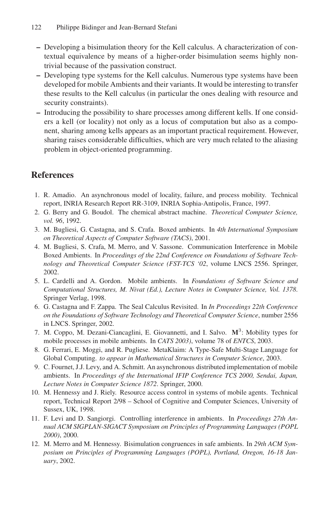- **–** Developing a bisimulation theory for the Kell calculus. A characterization of contextual equivalence by means of a higher-order bisimulation seems highly nontrivial because of the passivation construct.
- **–** Developing type systems for the Kell calculus. Numerous type systems have been developed for mobile Ambients and their variants. It would be interesting to transfer these results to the Kell calculus (in particular the ones dealing with resource and security constraints).
- **–** Introducing the possibility to share processes among different kells. If one considers a kell (or locality) not only as a locus of computation but also as a component, sharing among kells appears as an important practical requirement. However, sharing raises considerable difficulties, which are very much related to the aliasing problem in object-oriented programming.

## **References**

- 1. R. Amadio. An asynchronous model of locality, failure, and process mobility. Technical report, INRIA Research Report RR-3109, INRIA Sophia-Antipolis, France, 1997.
- 2. G. Berry and G. Boudol. The chemical abstract machine. *Theoretical Computer Science, vol. 96*, 1992.
- 3. M. Bugliesi, G. Castagna, and S. Crafa. Boxed ambients. In *4th International Symposium on Theoretical Aspects of Computer Software (TACS)*, 2001.
- 4. M. Bugliesi, S. Crafa, M. Merro, and V. Sassone. Communication Interference in Mobile Boxed Ambients. In *Proceedings of the 22nd Conference on Foundations of Software Technology and Theoretical Computer Science (FST-TCS '02*, volume LNCS 2556. Springer, 2002.
- 5. L. Cardelli and A. Gordon. Mobile ambients. In *Foundations of Software Science and Computational Structures, M. Nivat (Ed.), Lecture Notes in Computer Science, Vol. 1378*. Springer Verlag, 1998.
- 6. G. Castagna and F. Zappa. The Seal Calculus Revisited. In *In Proceedings 22th Conference on the Foundations of Software Technology and Theoretical Computer Science*, number 2556 in LNCS. Springer, 2002.
- 7. M. Coppo, M. Dezani-Ciancaglini, E. Giovannetti, and I. Salvo. **M**<sup>3</sup>: Mobility types for mobile processes in mobile ambients. In *CATS 2003)*, volume 78 of *ENTCS*, 2003.
- 8. G. Ferrari, E. Moggi, and R. Pugliese. MetaKlaim: A Type-Safe Multi-Stage Language for Global Computing. *to appear in Mathematical Structures in Computer Science*, 2003.
- 9. C. Fournet, J.J. Levy, and A. Schmitt. An asynchronous distributed implementation of mobile ambients. In *Proceedings of the International IFIP Conference TCS 2000, Sendai, Japan, Lecture Notes in Computer Science 1872*. Springer, 2000.
- 10. M. Hennessy and J. Riely. Resource access control in systems of mobile agents. Technical report, Technical Report 2/98 – School of Cognitive and Computer Sciences, University of Sussex, UK, 1998.
- 11. F. Levi and D. Sangiorgi. Controlling interference in ambients. In *Proceedings 27th Annual ACM SIGPLAN-SIGACT Symposium on Principles of Programming Languages (POPL 2000)*, 2000.
- 12. M. Merro and M. Hennessy. Bisimulation congruences in safe ambients. In *29th ACM Symposium on Principles of Programming Languages (POPL), Portland, Oregon, 16-18 January*, 2002.